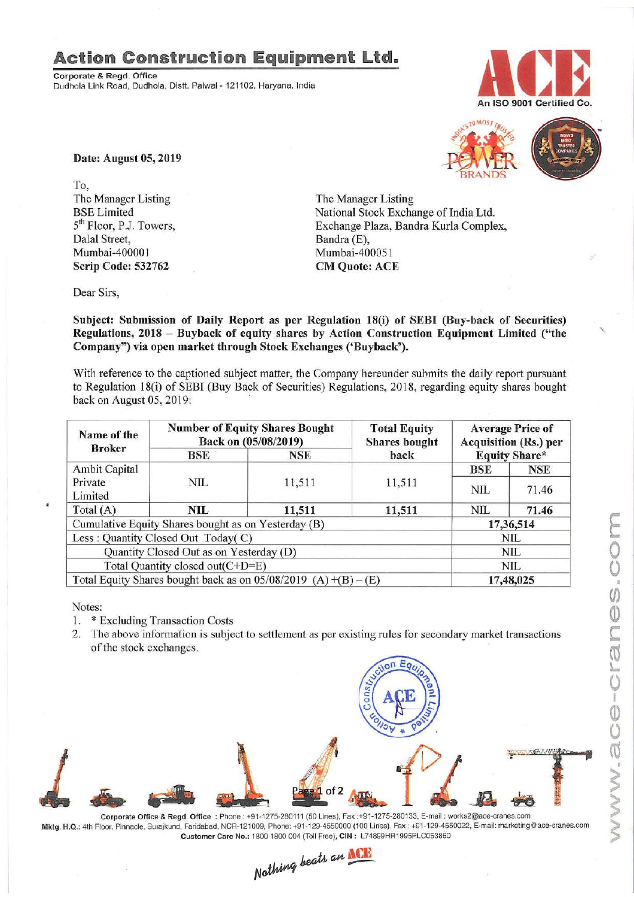## **Action Construction Equipment Ltd.**

Corporate & Regd. Office Dudhola Link Road, Dudhola, Distt. Palwal- 121102, Haryana, India





Date: August 05, 2019

To, The Manager Listing BSELimited 5<sup>th</sup> Floor, P.J. Towers, Dalal Street, Mumbai-40000] Scrip Code: 532762

The Manager Listing National Stock Exchange of India Ltd. Exchange Plaza, Bandra Kurla Complex, Bandra (E), Mumbai-400051 CM Quote: ACE

Dear Sirs,

Subject: Submission of Daily Report as per Regulation 18(i) of SEBI (Buy-back of Securities) Regulations, 2018 - Buyback of equity shares by Action Construction Equipment Limited ("the Company") via open market through Stock Exchanges ('Buyback').

With reference to the captioned subject matter, the Company hereunder submits the daily report pursuant to Regulation 18(i) of SEBI (Buy Back of Securities) Regulations, 2018, regarding equity shares bought back on August 05, 2019:

| Name of the<br><b>Broker</b>                                        | <b>Number of Equity Shares Bought</b><br>Back on (05/08/2019) |        | <b>Total Equity</b><br><b>Shares</b> bought | <b>Average Price of</b><br><b>Acquisition (Rs.) per</b><br><b>Equity Share*</b> |            |
|---------------------------------------------------------------------|---------------------------------------------------------------|--------|---------------------------------------------|---------------------------------------------------------------------------------|------------|
|                                                                     | BSE<br><b>NSE</b>                                             | back   |                                             |                                                                                 |            |
| Ambit Capital                                                       |                                                               |        |                                             | <b>BSE</b>                                                                      | <b>NSE</b> |
| Private                                                             | NIL                                                           | 11,511 | 11,511                                      | <b>NIL</b>                                                                      | 71.46      |
| Limited                                                             |                                                               |        |                                             |                                                                                 |            |
| Total $(A)$                                                         | NIL                                                           | 11,511 | 11,511                                      | NIL                                                                             | 71.46      |
| Cumulative Equity Shares bought as on Yesterday (B)                 |                                                               |        |                                             | 17,36,514                                                                       |            |
|                                                                     | Less: Quantity Closed Out Today(C)                            |        |                                             |                                                                                 | <b>NIL</b> |
|                                                                     | Quantity Closed Out as on Yesterday (D)                       |        |                                             |                                                                                 | NIL        |
| Total Quantity closed out(C+D=E)                                    |                                                               |        |                                             | NIL.                                                                            |            |
| Total Equity Shares bought back as on $05/08/2019$ (A) $+(B) - (E)$ |                                                               |        | 17,48,025                                   |                                                                                 |            |

Notes:

- I. \* Excluding Transaction Costs
- 2. The above information is subject to settlement as per existing rules for secondary market transactions of the stock exchanges.



Mktg. H.Q.: 4th Floor,Pinnacle,Surajkund, Faridabad, NCR-121009, Phone:+91-129·4550000 (100 Lines), Fax: +91-129·4550022, E·mall: marketlng@ace-cranes.com

Customer Care No.: 1800 1800 004 (Toll Free), CIN: L74899HR1995PLC053860<br>Nathing beats an **NCP**